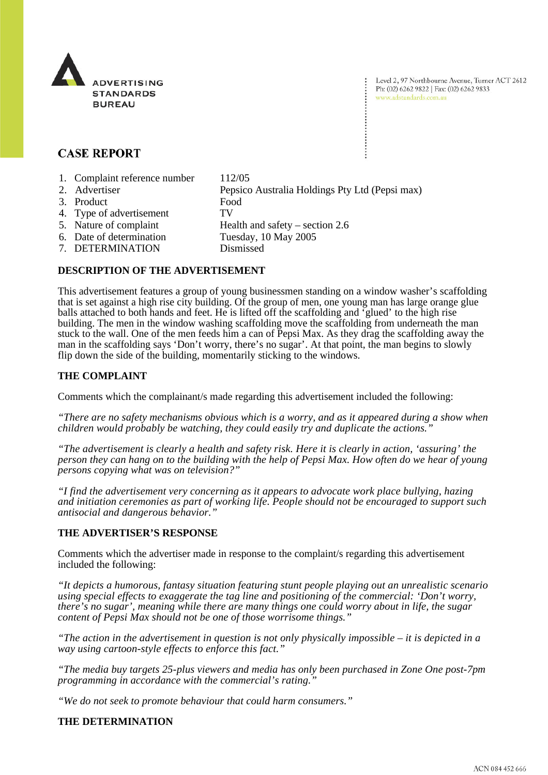

Level 2, 97 Northbourne Avenue, Turner ACT 2612 Ph: (02) 6262 9822 | Fax: (02) 6262 9833 www.adstandards.com.au

# **CASE REPORT**

- 1. Complaint reference number 112/05
- 2. Advertiser Pepsico Australia Holdings Pty Ltd (Pepsi max)
- 3. Product Food
- 4. Type of advertisement TV
- 5. Nature of complaint Health and safety section 2.6
- 
- 6. Date of determination Tuesday, 10 May 2005
- 7. DETERMINATION Dismissed

### **DESCRIPTION OF THE ADVERTISEMENT**

This advertisement features a group of young businessmen standing on a window washer's scaffolding that is set against a high rise city building. Of the group of men, one young man has large orange glue balls attached to both hands and feet. He is lifted off the scaffolding and 'glued' to the high rise building. The men in the window washing scaffolding move the scaffolding from underneath the man stuck to the wall. One of the men feeds him a can of Pepsi Max. As they drag the scaffolding away the man in the scaffolding says 'Don't worry, there's no sugar'. At that point, the man begins to slowly flip down the side of the building, momentarily sticking to the windows.

### **THE COMPLAINT**

Comments which the complainant/s made regarding this advertisement included the following:

*"There are no safety mechanisms obvious which is a worry, and as it appeared during a show when children would probably be watching, they could easily try and duplicate the actions."*

*"The advertisement is clearly a health and safety risk. Here it is clearly in action, 'assuring' the person they can hang on to the building with the help of Pepsi Max. How often do we hear of young persons copying what was on television?"*

*"I find the advertisement very concerning as it appears to advocate work place bullying, hazing and initiation ceremonies as part of working life. People should not be encouraged to support such antisocial and dangerous behavior."*

#### **THE ADVERTISER'S RESPONSE**

Comments which the advertiser made in response to the complaint/s regarding this advertisement included the following:

*"It depicts a humorous, fantasy situation featuring stunt people playing out an unrealistic scenario using special effects to exaggerate the tag line and positioning of the commercial: 'Don't worry, there's no sugar', meaning while there are many things one could worry about in life, the sugar content of Pepsi Max should not be one of those worrisome things."*

*"The action in the advertisement in question is not only physically impossible – it is depicted in a way using cartoon-style effects to enforce this fact."*

*"The media buy targets 25-plus viewers and media has only been purchased in Zone One post-7pm programming in accordance with the commercial's rating."*

*"We do not seek to promote behaviour that could harm consumers."*

## **THE DETERMINATION**